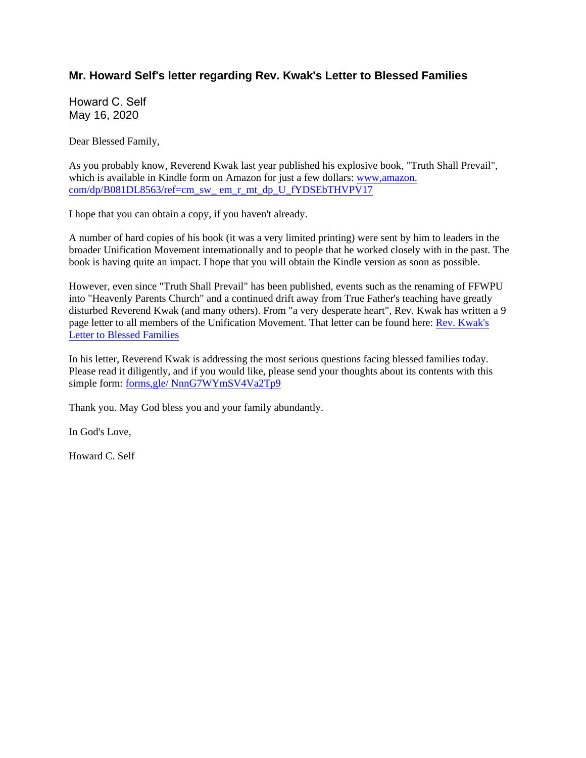# **Mr. Howard Self's letter regarding Rev. Kwak's Letter to Blessed Families**

Howard C. Self May 16, 2020

Dear Blessed Family,

As you probably know, Reverend Kwak last year published his explosive book, "Truth Shall Prevail", which is available in Kindle form on Amazon for just a few dollars: www,amazon. com/dp/B081DL8563/ref=cm\_sw\_ em\_r\_mt\_dp\_U\_fYDSEbTHVPV17

I hope that you can obtain a copy, if you haven't already.

A number of hard copies of his book (it was a very limited printing) were sent by him to leaders in the broader Unification Movement internationally and to people that he worked closely with in the past. The book is having quite an impact. I hope that you will obtain the Kindle version as soon as possible.

However, even since "Truth Shall Prevail" has been published, events such as the renaming of FFWPU into "Heavenly Parents Church" and a continued drift away from True Father's teaching have greatly disturbed Reverend Kwak (and many others). From "a very desperate heart", Rev. Kwak has written a 9 page letter to all members of the Unification Movement. That letter can be found here: Rev. Kwak's Letter to Blessed Families

In his letter, Reverend Kwak is addressing the most serious questions facing blessed families today. Please read it diligently, and if you would like, please send your thoughts about its contents with this simple form: forms,gle/ NnnG7WYmSV4Va2Tp9

Thank you. May God bless you and your family abundantly.

In God's Love,

Howard C. Self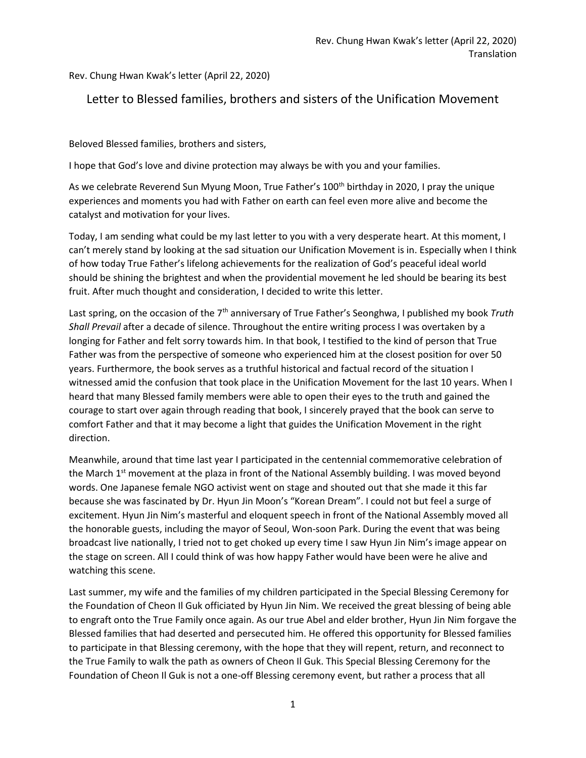Rev. Chung Hwan Kwak's letter (April 22, 2020)

# Letter to Blessed families, brothers and sisters of the Unification Movement

Beloved Blessed families, brothers and sisters,

I hope that God's love and divine protection may always be with you and your families.

As we celebrate Reverend Sun Myung Moon, True Father's 100<sup>th</sup> birthday in 2020, I pray the unique experiences and moments you had with Father on earth can feel even more alive and become the catalyst and motivation for your lives.

Today, I am sending what could be my last letter to you with a very desperate heart. At this moment, I can't merely stand by looking at the sad situation our Unification Movement is in. Especially when I think of how today True Father's lifelong achievements for the realization of God's peaceful ideal world should be shining the brightest and when the providential movement he led should be bearing its best fruit. After much thought and consideration, I decided to write this letter.

Last spring, on the occasion of the 7th anniversary of True Father's Seonghwa, I published my book *Truth Shall Prevail* after a decade of silence. Throughout the entire writing process I was overtaken by a longing for Father and felt sorry towards him. In that book, I testified to the kind of person that True Father was from the perspective of someone who experienced him at the closest position for over 50 years. Furthermore, the book serves as a truthful historical and factual record of the situation I witnessed amid the confusion that took place in the Unification Movement for the last 10 years. When I heard that many Blessed family members were able to open their eyes to the truth and gained the courage to start over again through reading that book, I sincerely prayed that the book can serve to comfort Father and that it may become a light that guides the Unification Movement in the right direction.

Meanwhile, around that time last year I participated in the centennial commemorative celebration of the March 1<sup>st</sup> movement at the plaza in front of the National Assembly building. I was moved beyond words. One Japanese female NGO activist went on stage and shouted out that she made it this far because she was fascinated by Dr. Hyun Jin Moon's "Korean Dream". I could not but feel a surge of excitement. Hyun Jin Nim's masterful and eloquent speech in front of the National Assembly moved all the honorable guests, including the mayor of Seoul, Won-soon Park. During the event that was being broadcast live nationally, I tried not to get choked up every time I saw Hyun Jin Nim's image appear on the stage on screen. All I could think of was how happy Father would have been were he alive and watching this scene.

Last summer, my wife and the families of my children participated in the Special Blessing Ceremony for the Foundation of Cheon Il Guk officiated by Hyun Jin Nim. We received the great blessing of being able to engraft onto the True Family once again. As our true Abel and elder brother, Hyun Jin Nim forgave the Blessed families that had deserted and persecuted him. He offered this opportunity for Blessed families to participate in that Blessing ceremony, with the hope that they will repent, return, and reconnect to the True Family to walk the path as owners of Cheon Il Guk. This Special Blessing Ceremony for the Foundation of Cheon Il Guk is not a one-off Blessing ceremony event, but rather a process that all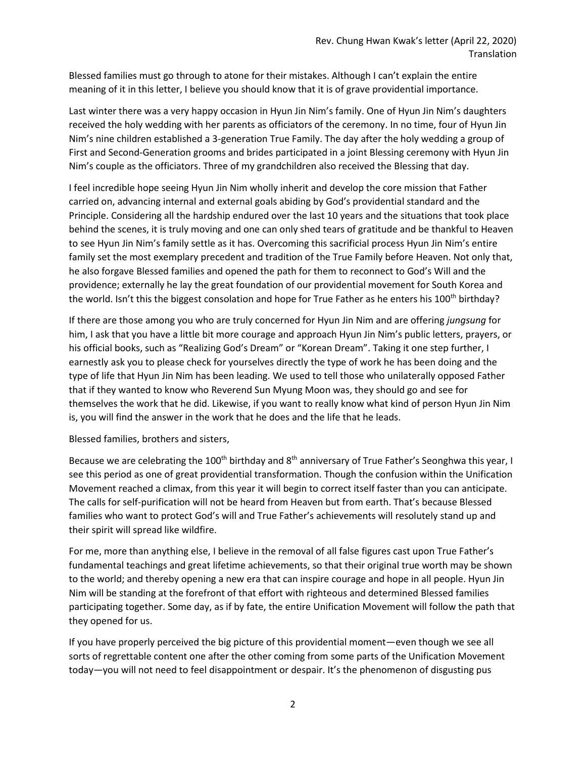Blessed families must go through to atone for their mistakes. Although I can't explain the entire meaning of it in this letter, I believe you should know that it is of grave providential importance.

Last winter there was a very happy occasion in Hyun Jin Nim's family. One of Hyun Jin Nim's daughters received the holy wedding with her parents as officiators of the ceremony. In no time, four of Hyun Jin Nim's nine children established a 3-generation True Family. The day after the holy wedding a group of First and Second-Generation grooms and brides participated in a joint Blessing ceremony with Hyun Jin Nim's couple as the officiators. Three of my grandchildren also received the Blessing that day.

I feel incredible hope seeing Hyun Jin Nim wholly inherit and develop the core mission that Father carried on, advancing internal and external goals abiding by God's providential standard and the Principle. Considering all the hardship endured over the last 10 years and the situations that took place behind the scenes, it is truly moving and one can only shed tears of gratitude and be thankful to Heaven to see Hyun Jin Nim's family settle as it has. Overcoming this sacrificial process Hyun Jin Nim's entire family set the most exemplary precedent and tradition of the True Family before Heaven. Not only that, he also forgave Blessed families and opened the path for them to reconnect to God's Will and the providence; externally he lay the great foundation of our providential movement for South Korea and the world. Isn't this the biggest consolation and hope for True Father as he enters his 100<sup>th</sup> birthday?

If there are those among you who are truly concerned for Hyun Jin Nim and are offering *jungsung* for him, I ask that you have a little bit more courage and approach Hyun Jin Nim's public letters, prayers, or his official books, such as "Realizing God's Dream" or "Korean Dream". Taking it one step further, I earnestly ask you to please check for yourselves directly the type of work he has been doing and the type of life that Hyun Jin Nim has been leading. We used to tell those who unilaterally opposed Father that if they wanted to know who Reverend Sun Myung Moon was, they should go and see for themselves the work that he did. Likewise, if you want to really know what kind of person Hyun Jin Nim is, you will find the answer in the work that he does and the life that he leads.

Blessed families, brothers and sisters,

Because we are celebrating the 100<sup>th</sup> birthday and  $8<sup>th</sup>$  anniversary of True Father's Seonghwa this year, I see this period as one of great providential transformation. Though the confusion within the Unification Movement reached a climax, from this year it will begin to correct itself faster than you can anticipate. The calls for self-purification will not be heard from Heaven but from earth. That's because Blessed families who want to protect God's will and True Father's achievements will resolutely stand up and their spirit will spread like wildfire.

For me, more than anything else, I believe in the removal of all false figures cast upon True Father's fundamental teachings and great lifetime achievements, so that their original true worth may be shown to the world; and thereby opening a new era that can inspire courage and hope in all people. Hyun Jin Nim will be standing at the forefront of that effort with righteous and determined Blessed families participating together. Some day, as if by fate, the entire Unification Movement will follow the path that they opened for us.

If you have properly perceived the big picture of this providential moment—even though we see all sorts of regrettable content one after the other coming from some parts of the Unification Movement today—you will not need to feel disappointment or despair. It's the phenomenon of disgusting pus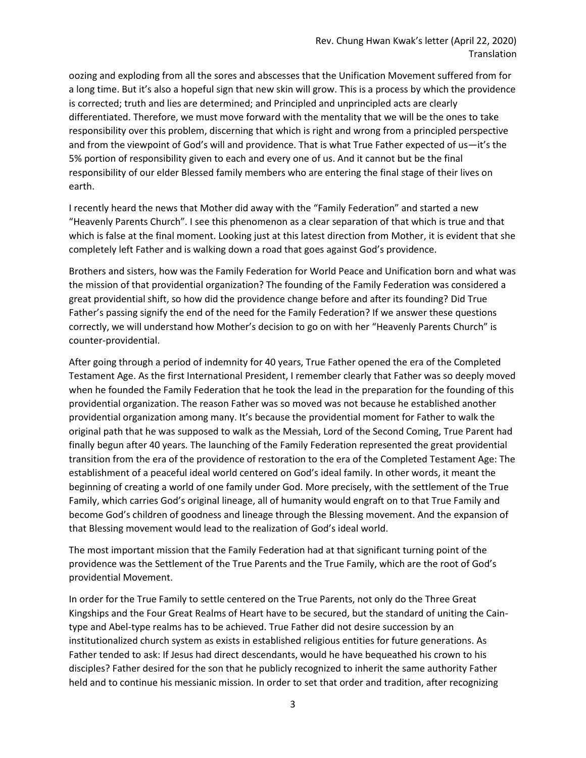oozing and exploding from all the sores and abscesses that the Unification Movement suffered from for a long time. But it's also a hopeful sign that new skin will grow. This is a process by which the providence is corrected; truth and lies are determined; and Principled and unprincipled acts are clearly differentiated. Therefore, we must move forward with the mentality that we will be the ones to take responsibility over this problem, discerning that which is right and wrong from a principled perspective and from the viewpoint of God's will and providence. That is what True Father expected of us—it's the 5% portion of responsibility given to each and every one of us. And it cannot but be the final responsibility of our elder Blessed family members who are entering the final stage of their lives on earth.

I recently heard the news that Mother did away with the "Family Federation" and started a new "Heavenly Parents Church". I see this phenomenon as a clear separation of that which is true and that which is false at the final moment. Looking just at this latest direction from Mother, it is evident that she completely left Father and is walking down a road that goes against God's providence.

Brothers and sisters, how was the Family Federation for World Peace and Unification born and what was the mission of that providential organization? The founding of the Family Federation was considered a great providential shift, so how did the providence change before and after its founding? Did True Father's passing signify the end of the need for the Family Federation? If we answer these questions correctly, we will understand how Mother's decision to go on with her "Heavenly Parents Church" is counter-providential.

After going through a period of indemnity for 40 years, True Father opened the era of the Completed Testament Age. As the first International President, I remember clearly that Father was so deeply moved when he founded the Family Federation that he took the lead in the preparation for the founding of this providential organization. The reason Father was so moved was not because he established another providential organization among many. It's because the providential moment for Father to walk the original path that he was supposed to walk as the Messiah, Lord of the Second Coming, True Parent had finally begun after 40 years. The launching of the Family Federation represented the great providential transition from the era of the providence of restoration to the era of the Completed Testament Age: The establishment of a peaceful ideal world centered on God's ideal family. In other words, it meant the beginning of creating a world of one family under God. More precisely, with the settlement of the True Family, which carries God's original lineage, all of humanity would engraft on to that True Family and become God's children of goodness and lineage through the Blessing movement. And the expansion of that Blessing movement would lead to the realization of God's ideal world.

The most important mission that the Family Federation had at that significant turning point of the providence was the Settlement of the True Parents and the True Family, which are the root of God's providential Movement.

In order for the True Family to settle centered on the True Parents, not only do the Three Great Kingships and the Four Great Realms of Heart have to be secured, but the standard of uniting the Caintype and Abel-type realms has to be achieved. True Father did not desire succession by an institutionalized church system as exists in established religious entities for future generations. As Father tended to ask: If Jesus had direct descendants, would he have bequeathed his crown to his disciples? Father desired for the son that he publicly recognized to inherit the same authority Father held and to continue his messianic mission. In order to set that order and tradition, after recognizing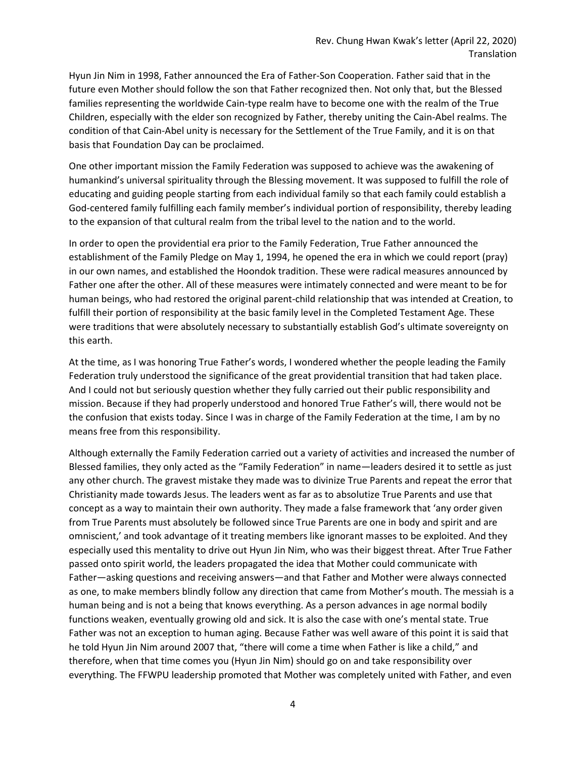Hyun Jin Nim in 1998, Father announced the Era of Father-Son Cooperation. Father said that in the future even Mother should follow the son that Father recognized then. Not only that, but the Blessed families representing the worldwide Cain-type realm have to become one with the realm of the True Children, especially with the elder son recognized by Father, thereby uniting the Cain-Abel realms. The condition of that Cain-Abel unity is necessary for the Settlement of the True Family, and it is on that basis that Foundation Day can be proclaimed.

One other important mission the Family Federation was supposed to achieve was the awakening of humankind's universal spirituality through the Blessing movement. It was supposed to fulfill the role of educating and guiding people starting from each individual family so that each family could establish a God-centered family fulfilling each family member's individual portion of responsibility, thereby leading to the expansion of that cultural realm from the tribal level to the nation and to the world.

In order to open the providential era prior to the Family Federation, True Father announced the establishment of the Family Pledge on May 1, 1994, he opened the era in which we could report (pray) in our own names, and established the Hoondok tradition. These were radical measures announced by Father one after the other. All of these measures were intimately connected and were meant to be for human beings, who had restored the original parent-child relationship that was intended at Creation, to fulfill their portion of responsibility at the basic family level in the Completed Testament Age. These were traditions that were absolutely necessary to substantially establish God's ultimate sovereignty on this earth.

At the time, as I was honoring True Father's words, I wondered whether the people leading the Family Federation truly understood the significance of the great providential transition that had taken place. And I could not but seriously question whether they fully carried out their public responsibility and mission. Because if they had properly understood and honored True Father's will, there would not be the confusion that exists today. Since I was in charge of the Family Federation at the time, I am by no means free from this responsibility.

Although externally the Family Federation carried out a variety of activities and increased the number of Blessed families, they only acted as the "Family Federation" in name—leaders desired it to settle as just any other church. The gravest mistake they made was to divinize True Parents and repeat the error that Christianity made towards Jesus. The leaders went as far as to absolutize True Parents and use that concept as a way to maintain their own authority. They made a false framework that 'any order given from True Parents must absolutely be followed since True Parents are one in body and spirit and are omniscient,' and took advantage of it treating members like ignorant masses to be exploited. And they especially used this mentality to drive out Hyun Jin Nim, who was their biggest threat. After True Father passed onto spirit world, the leaders propagated the idea that Mother could communicate with Father—asking questions and receiving answers—and that Father and Mother were always connected as one, to make members blindly follow any direction that came from Mother's mouth. The messiah is a human being and is not a being that knows everything. As a person advances in age normal bodily functions weaken, eventually growing old and sick. It is also the case with one's mental state. True Father was not an exception to human aging. Because Father was well aware of this point it is said that he told Hyun Jin Nim around 2007 that, "there will come a time when Father is like a child," and therefore, when that time comes you (Hyun Jin Nim) should go on and take responsibility over everything. The FFWPU leadership promoted that Mother was completely united with Father, and even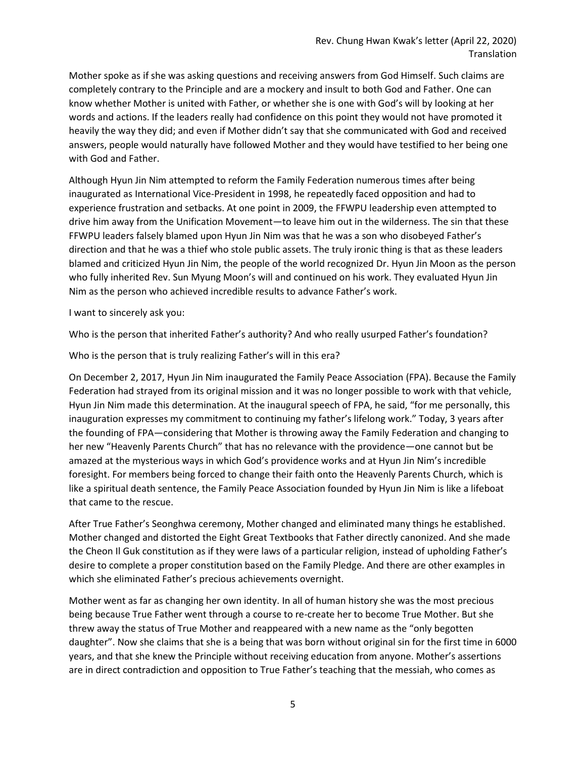Mother spoke as if she was asking questions and receiving answers from God Himself. Such claims are completely contrary to the Principle and are a mockery and insult to both God and Father. One can know whether Mother is united with Father, or whether she is one with God's will by looking at her words and actions. If the leaders really had confidence on this point they would not have promoted it heavily the way they did; and even if Mother didn't say that she communicated with God and received answers, people would naturally have followed Mother and they would have testified to her being one with God and Father.

Although Hyun Jin Nim attempted to reform the Family Federation numerous times after being inaugurated as International Vice-President in 1998, he repeatedly faced opposition and had to experience frustration and setbacks. At one point in 2009, the FFWPU leadership even attempted to drive him away from the Unification Movement—to leave him out in the wilderness. The sin that these FFWPU leaders falsely blamed upon Hyun Jin Nim was that he was a son who disobeyed Father's direction and that he was a thief who stole public assets. The truly ironic thing is that as these leaders blamed and criticized Hyun Jin Nim, the people of the world recognized Dr. Hyun Jin Moon as the person who fully inherited Rev. Sun Myung Moon's will and continued on his work. They evaluated Hyun Jin Nim as the person who achieved incredible results to advance Father's work.

I want to sincerely ask you:

Who is the person that inherited Father's authority? And who really usurped Father's foundation?

Who is the person that is truly realizing Father's will in this era?

On December 2, 2017, Hyun Jin Nim inaugurated the Family Peace Association (FPA). Because the Family Federation had strayed from its original mission and it was no longer possible to work with that vehicle, Hyun Jin Nim made this determination. At the inaugural speech of FPA, he said, "for me personally, this inauguration expresses my commitment to continuing my father's lifelong work." Today, 3 years after the founding of FPA—considering that Mother is throwing away the Family Federation and changing to her new "Heavenly Parents Church" that has no relevance with the providence—one cannot but be amazed at the mysterious ways in which God's providence works and at Hyun Jin Nim's incredible foresight. For members being forced to change their faith onto the Heavenly Parents Church, which is like a spiritual death sentence, the Family Peace Association founded by Hyun Jin Nim is like a lifeboat that came to the rescue.

After True Father's Seonghwa ceremony, Mother changed and eliminated many things he established. Mother changed and distorted the Eight Great Textbooks that Father directly canonized. And she made the Cheon Il Guk constitution as if they were laws of a particular religion, instead of upholding Father's desire to complete a proper constitution based on the Family Pledge. And there are other examples in which she eliminated Father's precious achievements overnight.

Mother went as far as changing her own identity. In all of human history she was the most precious being because True Father went through a course to re-create her to become True Mother. But she threw away the status of True Mother and reappeared with a new name as the "only begotten daughter". Now she claims that she is a being that was born without original sin for the first time in 6000 years, and that she knew the Principle without receiving education from anyone. Mother's assertions are in direct contradiction and opposition to True Father's teaching that the messiah, who comes as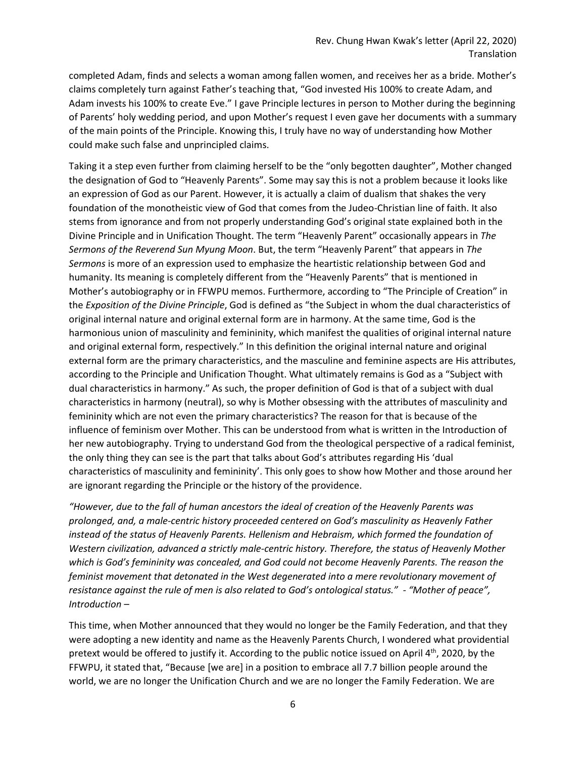completed Adam, finds and selects a woman among fallen women, and receives her as a bride. Mother's claims completely turn against Father's teaching that, "God invested His 100% to create Adam, and Adam invests his 100% to create Eve." I gave Principle lectures in person to Mother during the beginning of Parents' holy wedding period, and upon Mother's request I even gave her documents with a summary of the main points of the Principle. Knowing this, I truly have no way of understanding how Mother could make such false and unprincipled claims.

Taking it a step even further from claiming herself to be the "only begotten daughter", Mother changed the designation of God to "Heavenly Parents". Some may say this is not a problem because it looks like an expression of God as our Parent. However, it is actually a claim of dualism that shakes the very foundation of the monotheistic view of God that comes from the Judeo-Christian line of faith. It also stems from ignorance and from not properly understanding God's original state explained both in the Divine Principle and in Unification Thought. The term "Heavenly Parent" occasionally appears in *The Sermons of the Reverend Sun Myung Moon*. But, the term "Heavenly Parent" that appears in *The Sermons* is more of an expression used to emphasize the heartistic relationship between God and humanity. Its meaning is completely different from the "Heavenly Parents" that is mentioned in Mother's autobiography or in FFWPU memos. Furthermore, according to "The Principle of Creation" in the *Exposition of the Divine Principle*, God is defined as "the Subject in whom the dual characteristics of original internal nature and original external form are in harmony. At the same time, God is the harmonious union of masculinity and femininity, which manifest the qualities of original internal nature and original external form, respectively." In this definition the original internal nature and original external form are the primary characteristics, and the masculine and feminine aspects are His attributes, according to the Principle and Unification Thought. What ultimately remains is God as a "Subject with dual characteristics in harmony." As such, the proper definition of God is that of a subject with dual characteristics in harmony (neutral), so why is Mother obsessing with the attributes of masculinity and femininity which are not even the primary characteristics? The reason for that is because of the influence of feminism over Mother. This can be understood from what is written in the Introduction of her new autobiography. Trying to understand God from the theological perspective of a radical feminist, the only thing they can see is the part that talks about God's attributes regarding His 'dual characteristics of masculinity and femininity'. This only goes to show how Mother and those around her are ignorant regarding the Principle or the history of the providence.

*"However, due to the fall of human ancestors the ideal of creation of the Heavenly Parents was prolonged, and, a male-centric history proceeded centered on God's masculinity as Heavenly Father instead of the status of Heavenly Parents. Hellenism and Hebraism, which formed the foundation of Western civilization, advanced a strictly male-centric history. Therefore, the status of Heavenly Mother which is God's femininity was concealed, and God could not become Heavenly Parents. The reason the feminist movement that detonated in the West degenerated into a mere revolutionary movement of resistance against the rule of men is also related to God's ontological status." - "Mother of peace", Introduction –*

This time, when Mother announced that they would no longer be the Family Federation, and that they were adopting a new identity and name as the Heavenly Parents Church, I wondered what providential pretext would be offered to justify it. According to the public notice issued on April  $4<sup>th</sup>$ , 2020, by the FFWPU, it stated that, "Because [we are] in a position to embrace all 7.7 billion people around the world, we are no longer the Unification Church and we are no longer the Family Federation. We are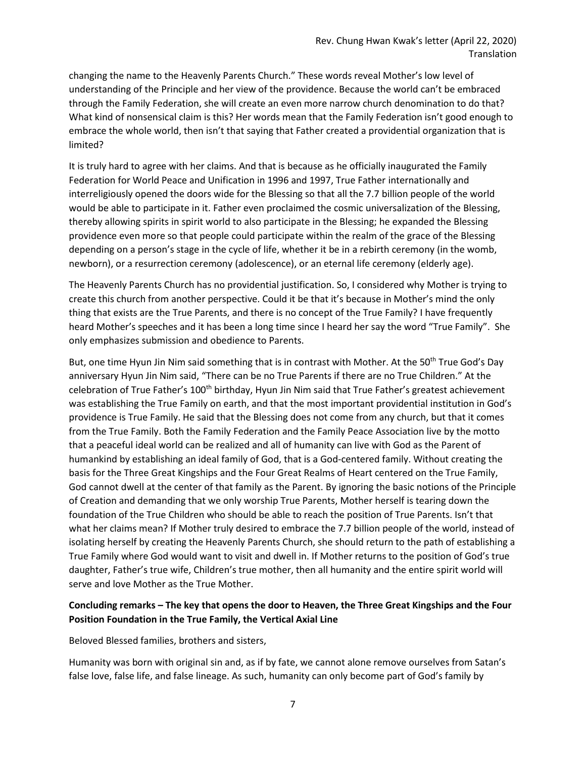changing the name to the Heavenly Parents Church." These words reveal Mother's low level of understanding of the Principle and her view of the providence. Because the world can't be embraced through the Family Federation, she will create an even more narrow church denomination to do that? What kind of nonsensical claim is this? Her words mean that the Family Federation isn't good enough to embrace the whole world, then isn't that saying that Father created a providential organization that is limited?

It is truly hard to agree with her claims. And that is because as he officially inaugurated the Family Federation for World Peace and Unification in 1996 and 1997, True Father internationally and interreligiously opened the doors wide for the Blessing so that all the 7.7 billion people of the world would be able to participate in it. Father even proclaimed the cosmic universalization of the Blessing, thereby allowing spirits in spirit world to also participate in the Blessing; he expanded the Blessing providence even more so that people could participate within the realm of the grace of the Blessing depending on a person's stage in the cycle of life, whether it be in a rebirth ceremony (in the womb, newborn), or a resurrection ceremony (adolescence), or an eternal life ceremony (elderly age).

The Heavenly Parents Church has no providential justification. So, I considered why Mother is trying to create this church from another perspective. Could it be that it's because in Mother's mind the only thing that exists are the True Parents, and there is no concept of the True Family? I have frequently heard Mother's speeches and it has been a long time since I heard her say the word "True Family". She only emphasizes submission and obedience to Parents.

But, one time Hyun Jin Nim said something that is in contrast with Mother. At the 50<sup>th</sup> True God's Day anniversary Hyun Jin Nim said, "There can be no True Parents if there are no True Children." At the celebration of True Father's 100<sup>th</sup> birthday, Hyun Jin Nim said that True Father's greatest achievement was establishing the True Family on earth, and that the most important providential institution in God's providence is True Family. He said that the Blessing does not come from any church, but that it comes from the True Family. Both the Family Federation and the Family Peace Association live by the motto that a peaceful ideal world can be realized and all of humanity can live with God as the Parent of humankind by establishing an ideal family of God, that is a God-centered family. Without creating the basis for the Three Great Kingships and the Four Great Realms of Heart centered on the True Family, God cannot dwell at the center of that family as the Parent. By ignoring the basic notions of the Principle of Creation and demanding that we only worship True Parents, Mother herself is tearing down the foundation of the True Children who should be able to reach the position of True Parents. Isn't that what her claims mean? If Mother truly desired to embrace the 7.7 billion people of the world, instead of isolating herself by creating the Heavenly Parents Church, she should return to the path of establishing a True Family where God would want to visit and dwell in. If Mother returns to the position of God's true daughter, Father's true wife, Children's true mother, then all humanity and the entire spirit world will serve and love Mother as the True Mother.

# **Concluding remarks – The key that opens the door to Heaven, the Three Great Kingships and the Four Position Foundation in the True Family, the Vertical Axial Line**

Beloved Blessed families, brothers and sisters,

Humanity was born with original sin and, as if by fate, we cannot alone remove ourselves from Satan's false love, false life, and false lineage. As such, humanity can only become part of God's family by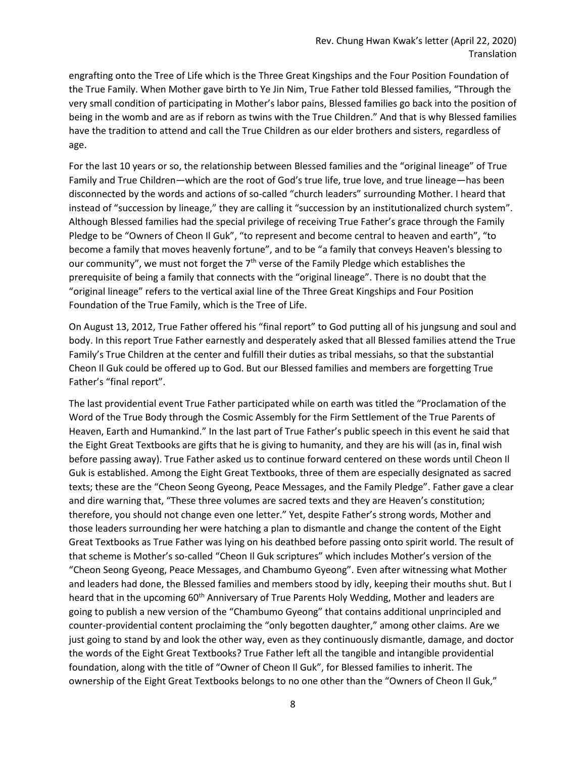engrafting onto the Tree of Life which is the Three Great Kingships and the Four Position Foundation of the True Family. When Mother gave birth to Ye Jin Nim, True Father told Blessed families, "Through the very small condition of participating in Mother's labor pains, Blessed families go back into the position of being in the womb and are as if reborn as twins with the True Children." And that is why Blessed families have the tradition to attend and call the True Children as our elder brothers and sisters, regardless of age.

For the last 10 years or so, the relationship between Blessed families and the "original lineage" of True Family and True Children—which are the root of God's true life, true love, and true lineage—has been disconnected by the words and actions of so-called "church leaders" surrounding Mother. I heard that instead of "succession by lineage," they are calling it "succession by an institutionalized church system". Although Blessed families had the special privilege of receiving True Father's grace through the Family Pledge to be "Owners of Cheon Il Guk", "to represent and become central to heaven and earth", "to become a family that moves heavenly fortune", and to be "a family that conveys Heaven's blessing to our community", we must not forget the  $7<sup>th</sup>$  verse of the Family Pledge which establishes the prerequisite of being a family that connects with the "original lineage". There is no doubt that the "original lineage" refers to the vertical axial line of the Three Great Kingships and Four Position Foundation of the True Family, which is the Tree of Life.

On August 13, 2012, True Father offered his "final report" to God putting all of his jungsung and soul and body. In this report True Father earnestly and desperately asked that all Blessed families attend the True Family's True Children at the center and fulfill their duties as tribal messiahs, so that the substantial Cheon Il Guk could be offered up to God. But our Blessed families and members are forgetting True Father's "final report".

The last providential event True Father participated while on earth was titled the "Proclamation of the Word of the True Body through the Cosmic Assembly for the Firm Settlement of the True Parents of Heaven, Earth and Humankind." In the last part of True Father's public speech in this event he said that the Eight Great Textbooks are gifts that he is giving to humanity, and they are his will (as in, final wish before passing away). True Father asked us to continue forward centered on these words until Cheon Il Guk is established. Among the Eight Great Textbooks, three of them are especially designated as sacred texts; these are the "Cheon Seong Gyeong, Peace Messages, and the Family Pledge". Father gave a clear and dire warning that, "These three volumes are sacred texts and they are Heaven's constitution; therefore, you should not change even one letter." Yet, despite Father's strong words, Mother and those leaders surrounding her were hatching a plan to dismantle and change the content of the Eight Great Textbooks as True Father was lying on his deathbed before passing onto spirit world. The result of that scheme is Mother's so-called "Cheon Il Guk scriptures" which includes Mother's version of the "Cheon Seong Gyeong, Peace Messages, and Chambumo Gyeong". Even after witnessing what Mother and leaders had done, the Blessed families and members stood by idly, keeping their mouths shut. But I heard that in the upcoming 60<sup>th</sup> Anniversary of True Parents Holy Wedding, Mother and leaders are going to publish a new version of the "Chambumo Gyeong" that contains additional unprincipled and counter-providential content proclaiming the "only begotten daughter," among other claims. Are we just going to stand by and look the other way, even as they continuously dismantle, damage, and doctor the words of the Eight Great Textbooks? True Father left all the tangible and intangible providential foundation, along with the title of "Owner of Cheon Il Guk", for Blessed families to inherit. The ownership of the Eight Great Textbooks belongs to no one other than the "Owners of Cheon Il Guk,"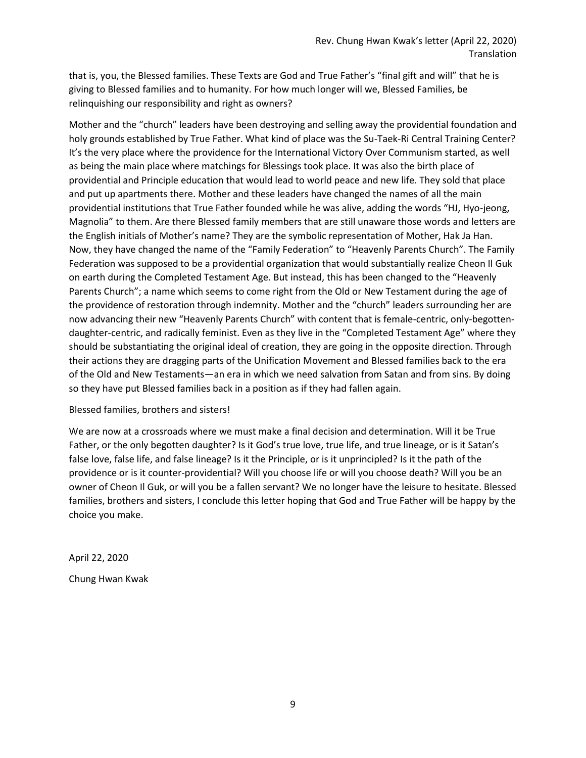that is, you, the Blessed families. These Texts are God and True Father's "final gift and will" that he is giving to Blessed families and to humanity. For how much longer will we, Blessed Families, be relinquishing our responsibility and right as owners?

Mother and the "church" leaders have been destroying and selling away the providential foundation and holy grounds established by True Father. What kind of place was the Su-Taek-Ri Central Training Center? It's the very place where the providence for the International Victory Over Communism started, as well as being the main place where matchings for Blessings took place. It was also the birth place of providential and Principle education that would lead to world peace and new life. They sold that place and put up apartments there. Mother and these leaders have changed the names of all the main providential institutions that True Father founded while he was alive, adding the words "HJ, Hyo-jeong, Magnolia" to them. Are there Blessed family members that are still unaware those words and letters are the English initials of Mother's name? They are the symbolic representation of Mother, Hak Ja Han. Now, they have changed the name of the "Family Federation" to "Heavenly Parents Church". The Family Federation was supposed to be a providential organization that would substantially realize Cheon Il Guk on earth during the Completed Testament Age. But instead, this has been changed to the "Heavenly Parents Church"; a name which seems to come right from the Old or New Testament during the age of the providence of restoration through indemnity. Mother and the "church" leaders surrounding her are now advancing their new "Heavenly Parents Church" with content that is female-centric, only-begottendaughter-centric, and radically feminist. Even as they live in the "Completed Testament Age" where they should be substantiating the original ideal of creation, they are going in the opposite direction. Through their actions they are dragging parts of the Unification Movement and Blessed families back to the era of the Old and New Testaments—an era in which we need salvation from Satan and from sins. By doing so they have put Blessed families back in a position as if they had fallen again.

#### Blessed families, brothers and sisters!

We are now at a crossroads where we must make a final decision and determination. Will it be True Father, or the only begotten daughter? Is it God's true love, true life, and true lineage, or is it Satan's false love, false life, and false lineage? Is it the Principle, or is it unprincipled? Is it the path of the providence or is it counter-providential? Will you choose life or will you choose death? Will you be an owner of Cheon Il Guk, or will you be a fallen servant? We no longer have the leisure to hesitate. Blessed families, brothers and sisters, I conclude this letter hoping that God and True Father will be happy by the choice you make.

April 22, 2020 Chung Hwan Kwak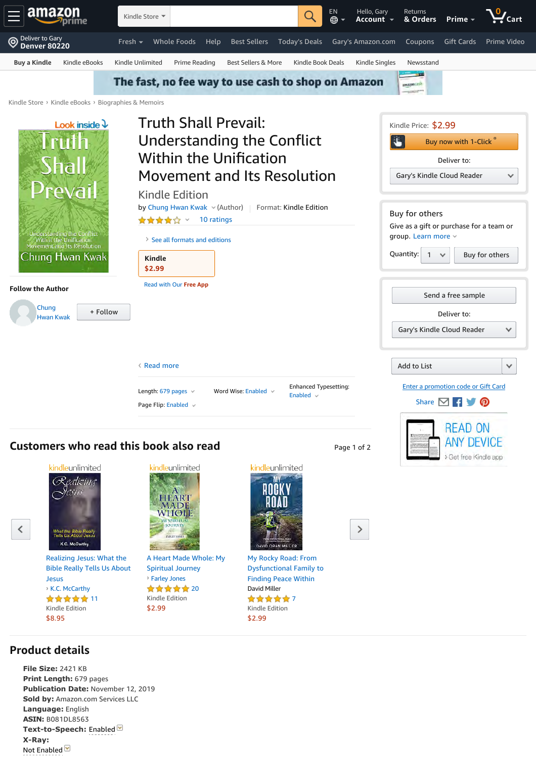<span id="page-10-0"></span>



Realizing Jesus: What the Bible Really Tells Us About Jesus ★★★★★ 11 Kindle Edition \$8.95 **›** K.C. McCarthy

**Publication Date:** November 12, 2019 **Sold by:** Amazon.com Services LLC

**Product details**

**File Size:** 2421 KB **Print Length:** 679 pages

**Language:** English **ASIN:** B081DL8563

**X-Ray:** Not Enabled V

**Text-to-Speech:** Enabled



A Heart Made Whole: My Spiritual Journey ★★★★★ 20 Kindle Edition \$2.99 **›** Farley Jones



My Rocky Road: From Dysfunctional Family to Finding Peace Within David Miller ★★★★★7

Kindle Edition \$2.99

 $\mathcal{P}$ 

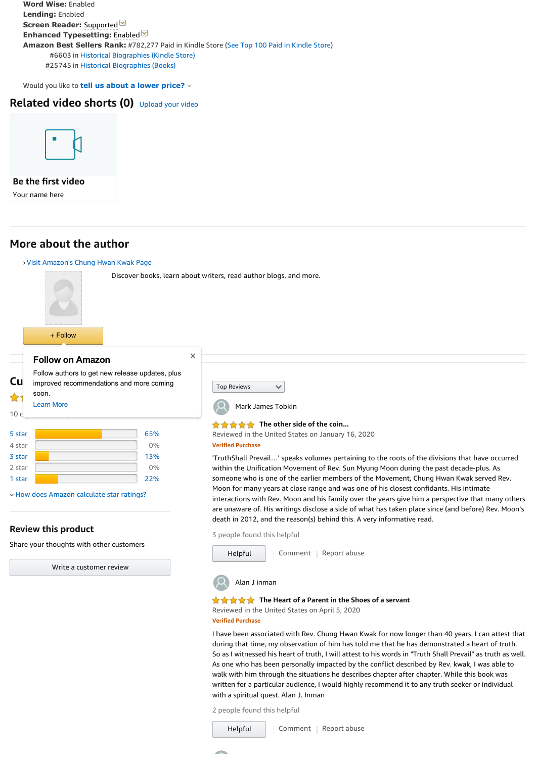**Word Wise:** Enabled **Lending:** Enabled **Screen Reader: Supported Enhanced Typesetting:** Enabled **Amazon Best Sellers Rank:** #782,277 Paid in Kindle Store (See Top 100 Paid in Kindle Store) #6603 in Historical Biographies (Kindle Store) #25745 in Historical Biographies (Books)

Would you like to **tell us about a lower price?**

# **Related video shorts (0)** Upload your video



**Be the first video** Your name here

# **More about the author**

<span id="page-11-0"></span>

#### **Review this product**

Share your thoughts with other customers

Write a customer review

3 people found this helpful



#### **The Heart of a Parent in the Shoes of a servant**

Reviewed in the United States on April 5, 2020 **Verified Purchase**

I have been associated with Rev. Chung Hwan Kwak for now longer than 40 years. I can attest that during that time, my observation of him has told me that he has demonstrated a heart of truth. So as I witnessed his heart of truth, I will attest to his words in "Truth Shall Prevail" as truth as well. As one who has been personally impacted by the conflict described by Rev. kwak, I was able to walk with him through the situations he describes chapter after chapter. While this book was written for a particular audience, I would highly recommend it to any truth seeker or individual with a spiritual quest. Alan J. Inman

2 people found this helpful

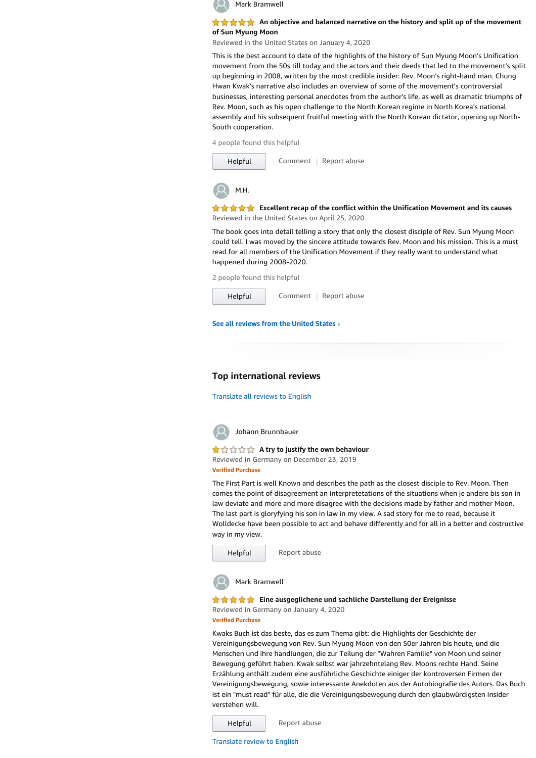

#### **★★★★★** An objective and balanced narrative on the history and split up of the movement **of Sun Myung Moon**

Reviewed in the United States on January 4, 2020

This is the best account to date of the highlights of the history of Sun Myung Moon's Unification movement from the 50s till today and the actors and their deeds that led to the movement's split up beginning in 2008, written by the most credible insider: Rev. Moon's right-hand man. Chung Hwan Kwak's narrative also includes an overview of some of the movement's controversial businesses, interesting personal anecdotes from the author's life, as well as dramatic triumphs of Rev. Moon, such as his open challenge to the North Korean regime in North Korea's national assembly and his subsequent fruitful meeting with the North Korean dictator, opening up North-South cooperation.

4 people found this helpful

| Helpful | Comment   Report abuse |
|---------|------------------------|
| M.H.    |                        |

**Excellent recap of the conflict within the Unification Movement and its causes** Reviewed in the United States on April 25, 2020

The book goes into detail telling a story that only the closest disciple of Rev. Sun Myung Moon could tell. I was moved by the sincere attitude towards Rev. Moon and his mission. This is a must read for all members of the Unification Movement if they really want to understand what happened during 2008-2020.

| 2 people found this helpful |  |                        |  |
|-----------------------------|--|------------------------|--|
| Helpful                     |  | Comment   Report abuse |  |
|                             |  |                        |  |

**See all reviews from the United States**

#### **Top international reviews**

[Translate all reviews to English](#page-11-0)



#### **A try to justify the own behaviour**

Reviewed in Germany on December 23, 2019 **Verified Purchase**

The First Part is well Known and describes the path as the closest disciple to Rev. Moon. Then comes the point of disagreement an interpretetations of the situations when je andere bis son in law deviate and more and more disagree with the decisions made by father and mother Moon. The last part is gloryfying his son in law in my view. A sad story for me to read, because it Wolldecke have been possible to act and behave differently and for all in a better and costructive way in my view.



Mark Bramwell

#### **★★★★★** Eine ausgeglichene und sachliche Darstellung der Ereignisse

Reviewed in Germany on January 4, 2020 **Verified Purchase**

Kwaks Buch ist das beste, das es zum Thema gibt: die Highlights der Geschichte der Vereinigungsbewegung von Rev. Sun Myung Moon von den 50er Jahren bis heute, und die Menschen und ihre handlungen, die zur Teilung der "Wahren Familie" von Moon und seiner Bewegung geführt haben. Kwak selbst war jahrzehntelang Rev. Moons rechte Hand. Seine Erzählung enthält zudem eine ausführliche Geschichte einiger der kontroversen Firmen der Vereinigungsbewegung, sowie interessante Anekdoten aus der Autobiografie des Autors. Das Buch ist ein "must read" für alle, die die Vereinigungsbewegung durch den glaubwürdigsten Insider verstehen will.

Report abuse Helpful

[Translate review to English](#page-11-0)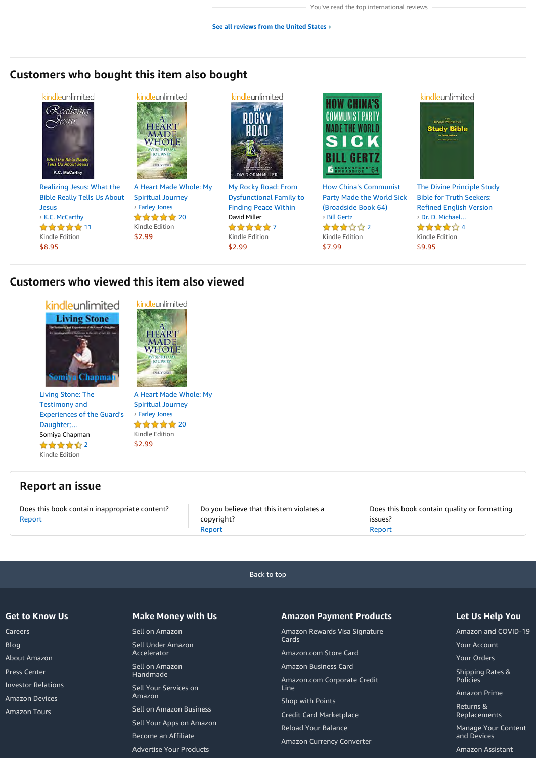# **Customers who bought this item also bought**



Realizing Jesus: What the Bible Really Tells Us About Jesus ★★★★★ 11 Kindle Edition \$8.95 **›** K.C. McCarthy



A Heart Made Whole: My Spiritual Journey **›** Farley Jones

★★★★★ 20 Kindle Edition \$2.99



My Rocky Road: From Dysfunctional Family to Finding Peace Within David Miller ★★★★★7 Kindle Edition \$2.99



How China's Communist Party Made the World Sick (Broadside Book 64) ★★★☆☆2 Kindle Edition \$7.99 **›** Bill Gertz **›** Dr. D. Michael…



The Divine Principle Study Bible for Truth Seekers: Refined English Version ★★★★☆4 Kindle Edition \$9.95

# **Customers who viewed this item also viewed**



Living Stone: The Testimony and Experiences of the Guard's Daughter;… Somiya Chapman ★★★★☆2 Kindle Edition



kindleunlimited

Spiritual Journey ★★★★★ 20 Kindle Edition \$2.99 **›** Farley Jones

# **Report an issue**

Does this book contain inappropriate content? Report

Do you believe that this item violates a copyright? Report

Does this book contain quality or formatting issues? Report

[Back to top](#page-10-0)

#### **Get to Know Us**

Careers Blog About Amazon Press Center Investor Relations Amazon Devices Amazon Tours

#### **Make Money with Us**

Sell on Amazon Sell Under Amazon Accelerator Sell on Amazon Handmade Sell Your Services on Amazon Sell on Amazon Business Sell Your Apps on Amazon Become an Affiliate Advertise Your Products

#### **Amazon Payment Products**

Amazon Rewards Visa Signature Cards Amazon.com Store Card Amazon Business Card Amazon.com Corporate Credit Line Shop with Points Credit Card Marketplace Reload Your Balance Amazon Currency Converter

#### **Let Us Help You**

Amazon and COVID-19

Your Account Your Orders

Shipping Rates & Policies

Amazon Prime

Returns & Replacements

Manage Your Content and Devices

Amazon Assistant